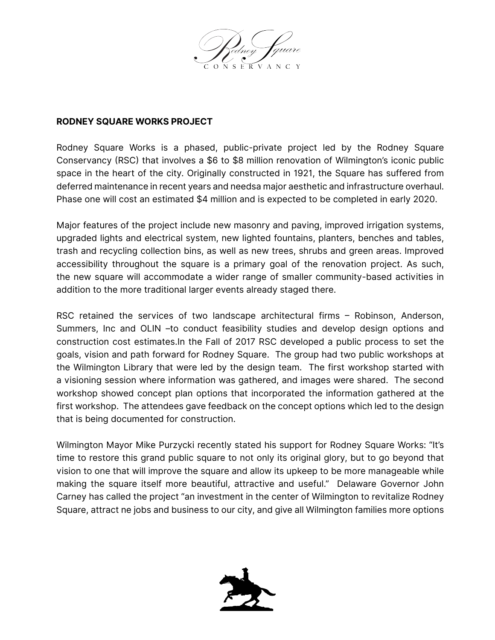

## **RODNEY SQUARE WORKS PROJECT**

Rodney Square Works is a phased, public-private project led by the Rodney Square Conservancy (RSC) that involves a \$6 to \$8 million renovation of Wilmington's iconic public space in the heart of the city. Originally constructed in 1921, the Square has suffered from deferred maintenance in recent years and needsa major aesthetic and infrastructure overhaul. Phase one will cost an estimated \$4 million and is expected to be completed in early 2020.

Major features of the project include new masonry and paving, improved irrigation systems, upgraded lights and electrical system, new lighted fountains, planters, benches and tables, trash and recycling collection bins, as well as new trees, shrubs and green areas. Improved accessibility throughout the square is a primary goal of the renovation project. As such, the new square will accommodate a wider range of smaller community-based activities in addition to the more traditional larger events already staged there.

RSC retained the services of two landscape architectural firms – Robinson, Anderson, Summers, Inc and OLIN –to conduct feasibility studies and develop design options and construction cost estimates.In the Fall of 2017 RSC developed a public process to set the goals, vision and path forward for Rodney Square. The group had two public workshops at the Wilmington Library that were led by the design team. The first workshop started with a visioning session where information was gathered, and images were shared. The second workshop showed concept plan options that incorporated the information gathered at the first workshop. The attendees gave feedback on the concept options which led to the design that is being documented for construction.

Wilmington Mayor Mike Purzycki recently stated his support for Rodney Square Works: "It's time to restore this grand public square to not only its original glory, but to go beyond that vision to one that will improve the square and allow its upkeep to be more manageable while making the square itself more beautiful, attractive and useful." Delaware Governor John Carney has called the project "an investment in the center of Wilmington to revitalize Rodney Square, attract ne jobs and business to our city, and give all Wilmington families more options